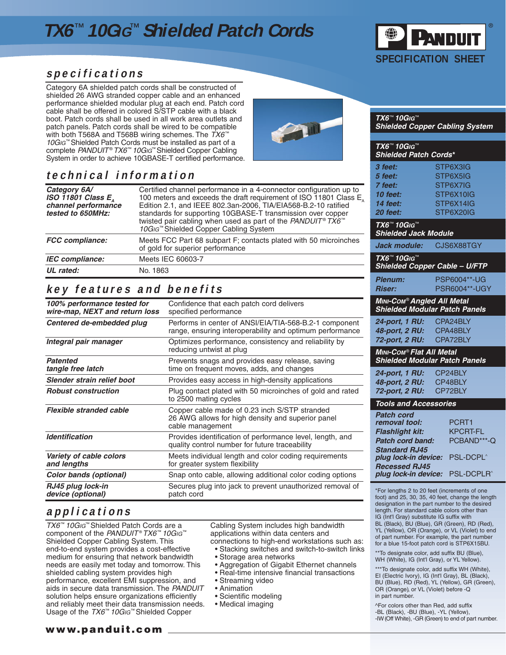# **TX6**™ **10GIG**™ **Shielded Patch Cords**



**Shielded Copper Cabling System**

**TX6**™ **10GIG**™

**TX6**™ **10GIG**™

**Shielded Patch Cords\* 3 feet:** STP6X3IG **5 feet:** STP6X5IG **7 feet:** STP6X7IG **10 feet:** STP6X10IG **14 feet:** STP6X14IG

### **specifications**

Category 6A shielded patch cords shall be constructed of shielded 26 AWG stranded copper cable and an enhanced performance shielded modular plug at each end. Patch cord cable shall be offered in colored S/STP cable with a black boot. Patch cords shall be used in all work area outlets and patch panels. Patch cords shall be wired to be compatible with both T568A and T568B wiring schemes. The  $TX6^{\omega}$ 10G<sub>IG</sub>™ Shielded Patch Cords must be installed as part of a complete PANDUIT® TX6™ 10GIG™ Shielded Copper Cabling System in order to achieve 10GBASE-T certified performance.

## **technical information**

| Category 6A/<br>ISO 11801 Class $E_{\text{A}}$<br>channel performance<br>tested to 650MHz: | Certified channel performance in a 4-connector configuration up to<br>100 meters and exceeds the draft requirement of ISO 11801 Class E <sub>n</sub><br>Edition 2.1, and IEEE 802.3an-2006, TIA/EIA568-B.2-10 ratified<br>standards for supporting 10GBASE-T transmission over copper<br>twisted pair cabling when used as part of the PANDUIT® $TX6^{\omega}$<br>10G <sub>IG</sub> ™ Shielded Copper Cabling System |  |
|--------------------------------------------------------------------------------------------|----------------------------------------------------------------------------------------------------------------------------------------------------------------------------------------------------------------------------------------------------------------------------------------------------------------------------------------------------------------------------------------------------------------------|--|
| <b>FCC</b> compliance:                                                                     | Meets FCC Part 68 subpart F; contacts plated with 50 microinches<br>of gold for superior performance                                                                                                                                                                                                                                                                                                                 |  |
| <b>IEC</b> compliance:                                                                     | Meets IEC 60603-7                                                                                                                                                                                                                                                                                                                                                                                                    |  |
| UL rated:                                                                                  | No. 1863                                                                                                                                                                                                                                                                                                                                                                                                             |  |

## **key features and benefits**

| 100% performance tested for<br>wire-map, NEXT and return loss | Confidence that each patch cord delivers<br>specified performance                                                      |
|---------------------------------------------------------------|------------------------------------------------------------------------------------------------------------------------|
| Centered de-embedded plug                                     | Performs in center of ANSI/EIA/TIA-568-B.2-1 component<br>range, ensuring interoperability and optimum performance     |
| Integral pair manager                                         | Optimizes performance, consistency and reliability by<br>reducing untwist at plug                                      |
| <b>Patented</b><br>tangle free latch                          | Prevents snags and provides easy release, saving<br>time on frequent moves, adds, and changes                          |
| Slender strain relief boot                                    | Provides easy access in high-density applications                                                                      |
| <b>Robust construction</b>                                    | Plug contact plated with 50 microinches of gold and rated<br>to 2500 mating cycles                                     |
| Flexible stranded cable                                       | Copper cable made of 0.23 inch S/STP stranded<br>26 AWG allows for high density and superior panel<br>cable management |
| <b>Identification</b>                                         | Provides identification of performance level, length, and<br>quality control number for future traceability            |
| Variety of cable colors<br>and lengths                        | Meets individual length and color coding requirements<br>for greater system flexibility                                |
| <b>Color bands (optional)</b>                                 | Snap onto cable, allowing additional color coding options                                                              |
| RJ45 plug lock-in<br>device (optional)                        | Secures plug into jack to prevent unauthorized removal of<br>patch cord                                                |

## **applications**

TX6™ 10GIG™ Shielded Patch Cords are a component of the PANDUIT® TX6™ 10GIG™ Shielded Copper Cabling System. This end-to-end system provides a cost-effective medium for ensuring that network bandwidth needs are easily met today and tomorrow. This shielded cabling system provides high performance, excellent EMI suppression, and aids in secure data transmission. The PANDUIT solution helps ensure organizations efficiently and reliably meet their data transmission needs. Usage of the TX6™ 10GIG™ Shielded Copper

Cabling System includes high bandwidth applications within data centers and connections to high-end workstations such as: • Stacking switches and switch-to-switch links

- Storage area networks
- Aggregation of Gigabit Ethernet channels
- Real-time intensive financial transactions
- Streaming video
- Animation
- Scientific modeling
- Medical imaging

**20 feet:** STP6X20IG **TX6**™ **10GIG**™ **Shielded Jack Module Jack module:** CJS6X88TGY **TX6**™ **10GIG**™ **Shielded Copper Cable – U/FTP Plenum:** PSP6004\*\*-UG **Riser:** PSR6004\*\*-UGY **MINI-COM**® **Angled All Metal Shielded Modular Patch Panels 24-port, 1 RU:** CPA24BLY **48-port, 2 RU:** CPA48BLY **72-port, 2 RU:** CPA72BLY **MINI-COM**® **Flat All Metal Shielded Modular Patch Panels 24-port, 1 RU:** CP24BLY **48-port, 2 RU:** CP48BLY **72-port, 2 RU:** CP72BLY **Tools and Accessories Patch cord removal tool:** PCRT1 **Flashlight kit:** KPCRT-FL **Patch cord band:** PCBAND\*\*\*-Q **Standard RJ45 plug lock-in device:** PSL-DCPL^ **Recessed RJ45 plug lock-in device:** PSL-DCPLR^ \*For lengths 2 to 20 feet (increments of one foot) and 25, 30, 35, 40 feet, change the length designation in the part number to the desired length. For standard cable colors other than IG (Int'l Gray) substitute IG suffix with BL (Black), BU (Blue), GR (Green), RD (Red), YL (Yellow), OR (Orange), or VL (Violet) to end of part number. For example, the part number for a blue 15-foot patch cord is STP6X15BU. \*\*To designate color, add suffix BU (Blue), WH (White), IG (Int'l Gray), or YL Yellow).

\*\*\*To designate color, add suffix WH (White), EI (Electric Ivory), IG (Int'l Gray), BL (Black), BU (Blue), RD (Red), YL (Yellow), GR (Green), OR (Orange), or VL (Violet) before -Q in part number.

^For colors other than Red, add suffix -BL (Black), -BU (Blue), -YL (Yellow), -IW (Off White), -GR (Green) to end of part number.

#### **www.panduit.com**